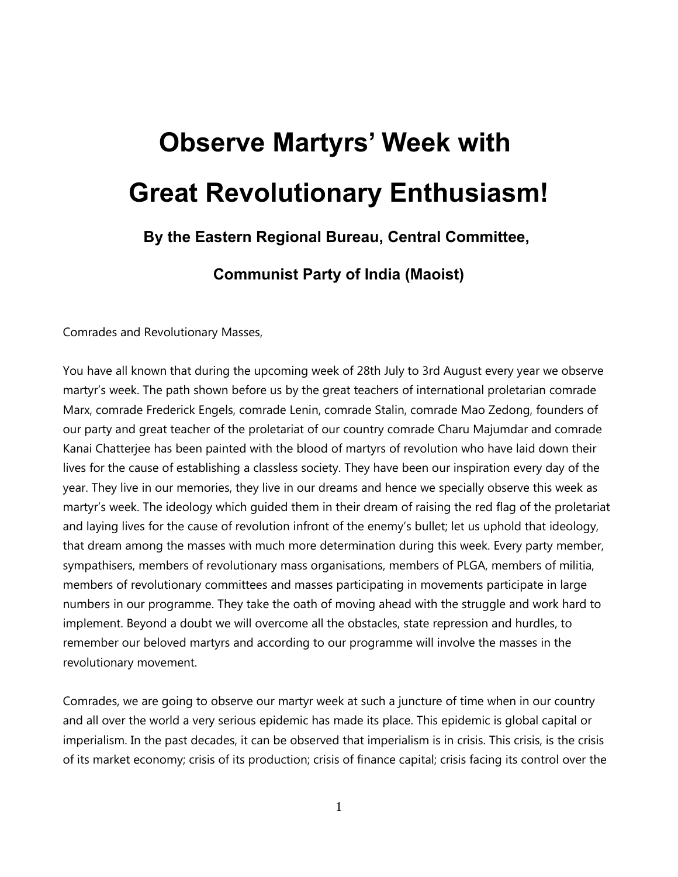## **Observe Martyrs' Week with Great Revolutionary Enthusiasm!**

## **By the Eastern Regional Bureau, Central Committee,**

**Communist Party of India (Maoist)**

Comrades and Revolutionary Masses,

You have all known that during the upcoming week of 28th July to 3rd August every year we observe martyr's week. The path shown before us by the great teachers of international proletarian comrade Marx, comrade Frederick Engels, comrade Lenin, comrade Stalin, comrade Mao Zedong, founders of our party and great teacher of the proletariat of our country comrade Charu Majumdar and comrade Kanai Chatterjee has been painted with the blood of martyrs of revolution who have laid down their lives for the cause of establishing a classless society. They have been our inspiration every day of the year. They live in our memories, they live in our dreams and hence we specially observe this week as martyr's week. The ideology which guided them in their dream of raising the red flag of the proletariat and laying lives for the cause of revolution infront of the enemy's bullet; let us uphold that ideology, that dream among the masses with much more determination during this week. Every party member, sympathisers, members of revolutionary mass organisations, members of PLGA, members of militia, members of revolutionary committees and masses participating in movements participate in large numbers in our programme. They take the oath of moving ahead with the struggle and work hard to implement. Beyond a doubt we will overcome all the obstacles, state repression and hurdles, to remember our beloved martyrs and according to our programme will involve the masses in the revolutionary movement.

Comrades, we are going to observe our martyr week at such a juncture of time when in our country and all over the world a very serious epidemic has made its place. This epidemic is global capital or imperialism. In the past decades, it can be observed that imperialism is in crisis. This crisis, is the crisis of its market economy; crisis of its production; crisis of finance capital; crisis facing its control over the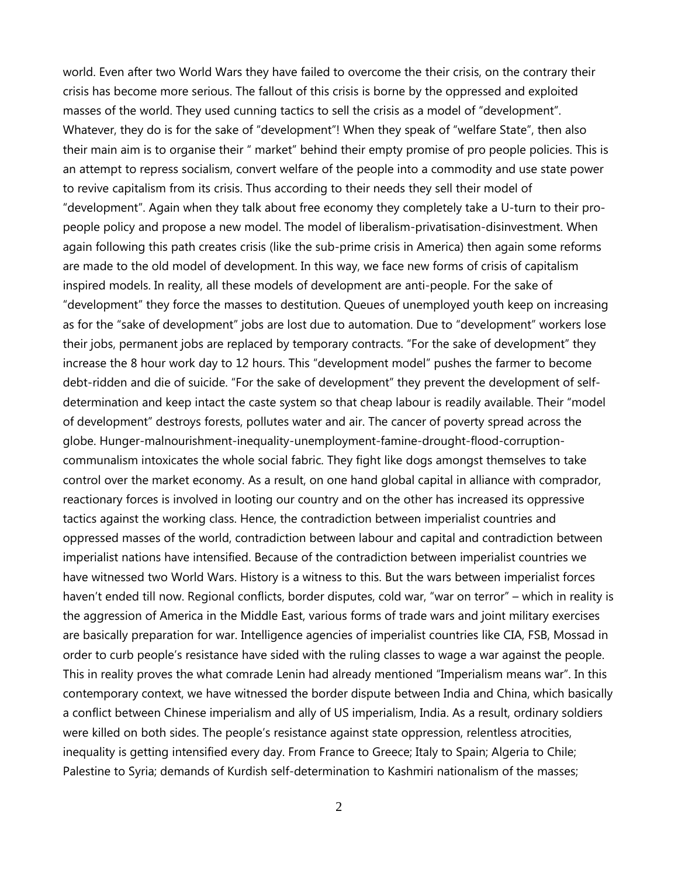world. Even after two World Wars they have failed to overcome the their crisis, on the contrary their crisis has become more serious. The fallout of this crisis is borne by the oppressed and exploited masses of the world. They used cunning tactics to sell the crisis as a model of "development". Whatever, they do is for the sake of "development"! When they speak of "welfare State", then also their main aim is to organise their " market" behind their empty promise of pro people policies. This is an attempt to repress socialism, convert welfare of the people into a commodity and use state power to revive capitalism from its crisis. Thus according to their needs they sell their model of "development". Again when they talk about free economy they completely take a U-turn to their propeople policy and propose a new model. The model of liberalism-privatisation-disinvestment. When again following this path creates crisis (like the sub-prime crisis in America) then again some reforms are made to the old model of development. In this way, we face new forms of crisis of capitalism inspired models. In reality, all these models of development are anti-people. For the sake of "development" they force the masses to destitution. Queues of unemployed youth keep on increasing as for the "sake of development" jobs are lost due to automation. Due to "development" workers lose their jobs, permanent jobs are replaced by temporary contracts. "For the sake of development" they increase the 8 hour work day to 12 hours. This "development model" pushes the farmer to become debt-ridden and die of suicide. "For the sake of development" they prevent the development of selfdetermination and keep intact the caste system so that cheap labour is readily available. Their "model of development" destroys forests, pollutes water and air. The cancer of poverty spread across the globe. Hunger-malnourishment-inequality-unemployment-famine-drought-flood-corruptioncommunalism intoxicates the whole social fabric. They fight like dogs amongst themselves to take control over the market economy. As a result, on one hand global capital in alliance with comprador, reactionary forces is involved in looting our country and on the other has increased its oppressive tactics against the working class. Hence, the contradiction between imperialist countries and oppressed masses of the world, contradiction between labour and capital and contradiction between imperialist nations have intensified. Because of the contradiction between imperialist countries we have witnessed two World Wars. History is a witness to this. But the wars between imperialist forces haven't ended till now. Regional conflicts, border disputes, cold war, "war on terror" – which in reality is the aggression of America in the Middle East, various forms of trade wars and joint military exercises are basically preparation for war. Intelligence agencies of imperialist countries like CIA, FSB, Mossad in order to curb people's resistance have sided with the ruling classes to wage a war against the people. This in reality proves the what comrade Lenin had already mentioned "Imperialism means war". In this contemporary context, we have witnessed the border dispute between India and China, which basically a conflict between Chinese imperialism and ally of US imperialism, India. As a result, ordinary soldiers were killed on both sides. The people's resistance against state oppression, relentless atrocities, inequality is getting intensified every day. From France to Greece; Italy to Spain; Algeria to Chile; Palestine to Syria; demands of Kurdish self-determination to Kashmiri nationalism of the masses;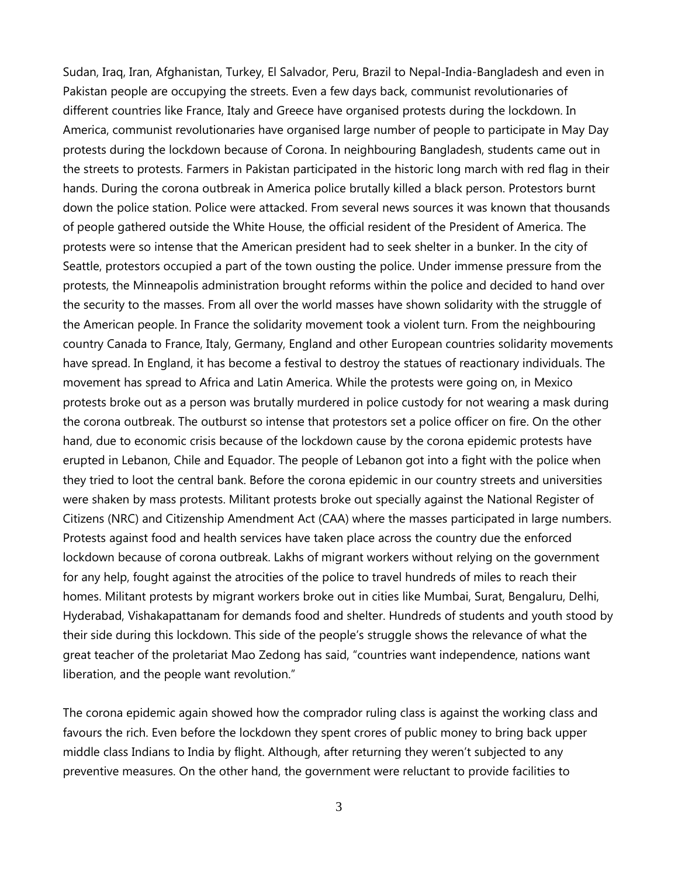Sudan, Iraq, Iran, Afghanistan, Turkey, El Salvador, Peru, Brazil to Nepal-India-Bangladesh and even in Pakistan people are occupying the streets. Even a few days back, communist revolutionaries of different countries like France, Italy and Greece have organised protests during the lockdown. In America, communist revolutionaries have organised large number of people to participate in May Day protests during the lockdown because of Corona. In neighbouring Bangladesh, students came out in the streets to protests. Farmers in Pakistan participated in the historic long march with red flag in their hands. During the corona outbreak in America police brutally killed a black person. Protestors burnt down the police station. Police were attacked. From several news sources it was known that thousands of people gathered outside the White House, the official resident of the President of America. The protests were so intense that the American president had to seek shelter in a bunker. In the city of Seattle, protestors occupied a part of the town ousting the police. Under immense pressure from the protests, the Minneapolis administration brought reforms within the police and decided to hand over the security to the masses. From all over the world masses have shown solidarity with the struggle of the American people. In France the solidarity movement took a violent turn. From the neighbouring country Canada to France, Italy, Germany, England and other European countries solidarity movements have spread. In England, it has become a festival to destroy the statues of reactionary individuals. The movement has spread to Africa and Latin America. While the protests were going on, in Mexico protests broke out as a person was brutally murdered in police custody for not wearing a mask during the corona outbreak. The outburst so intense that protestors set a police officer on fire. On the other hand, due to economic crisis because of the lockdown cause by the corona epidemic protests have erupted in Lebanon, Chile and Equador. The people of Lebanon got into a fight with the police when they tried to loot the central bank. Before the corona epidemic in our country streets and universities were shaken by mass protests. Militant protests broke out specially against the National Register of Citizens (NRC) and Citizenship Amendment Act (CAA) where the masses participated in large numbers. Protests against food and health services have taken place across the country due the enforced lockdown because of corona outbreak. Lakhs of migrant workers without relying on the government for any help, fought against the atrocities of the police to travel hundreds of miles to reach their homes. Militant protests by migrant workers broke out in cities like Mumbai, Surat, Bengaluru, Delhi, Hyderabad, Vishakapattanam for demands food and shelter. Hundreds of students and youth stood by their side during this lockdown. This side of the people's struggle shows the relevance of what the great teacher of the proletariat Mao Zedong has said, "countries want independence, nations want liberation, and the people want revolution."

The corona epidemic again showed how the comprador ruling class is against the working class and favours the rich. Even before the lockdown they spent crores of public money to bring back upper middle class Indians to India by flight. Although, after returning they weren't subjected to any preventive measures. On the other hand, the government were reluctant to provide facilities to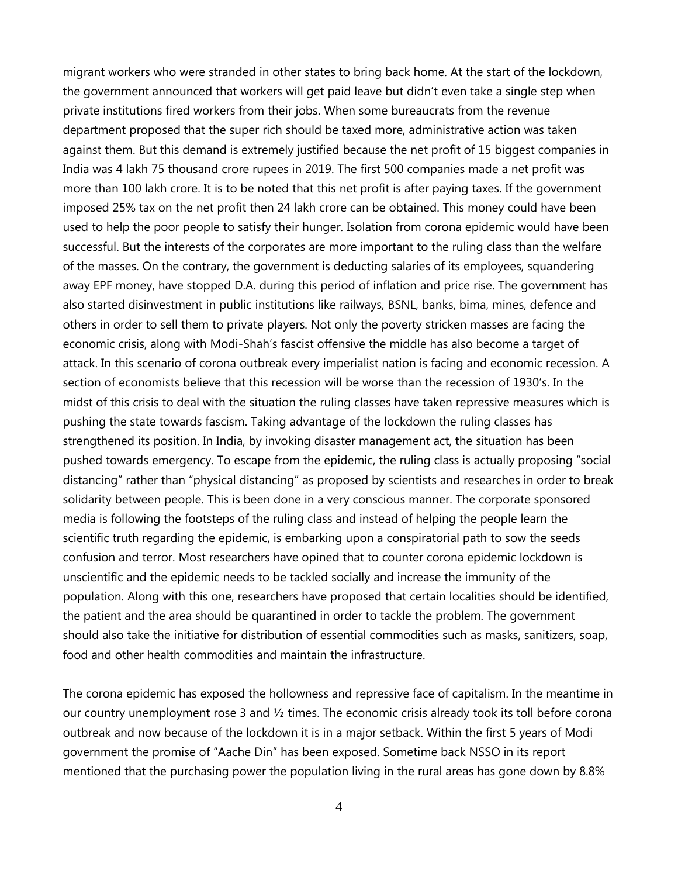migrant workers who were stranded in other states to bring back home. At the start of the lockdown, the government announced that workers will get paid leave but didn't even take a single step when private institutions fired workers from their jobs. When some bureaucrats from the revenue department proposed that the super rich should be taxed more, administrative action was taken against them. But this demand is extremely justified because the net profit of 15 biggest companies in India was 4 lakh 75 thousand crore rupees in 2019. The first 500 companies made a net profit was more than 100 lakh crore. It is to be noted that this net profit is after paying taxes. If the government imposed 25% tax on the net profit then 24 lakh crore can be obtained. This money could have been used to help the poor people to satisfy their hunger. Isolation from corona epidemic would have been successful. But the interests of the corporates are more important to the ruling class than the welfare of the masses. On the contrary, the government is deducting salaries of its employees, squandering away EPF money, have stopped D.A. during this period of inflation and price rise. The government has also started disinvestment in public institutions like railways, BSNL, banks, bima, mines, defence and others in order to sell them to private players. Not only the poverty stricken masses are facing the economic crisis, along with Modi-Shah's fascist offensive the middle has also become a target of attack. In this scenario of corona outbreak every imperialist nation is facing and economic recession. A section of economists believe that this recession will be worse than the recession of 1930's. In the midst of this crisis to deal with the situation the ruling classes have taken repressive measures which is pushing the state towards fascism. Taking advantage of the lockdown the ruling classes has strengthened its position. In India, by invoking disaster management act, the situation has been pushed towards emergency. To escape from the epidemic, the ruling class is actually proposing "social distancing" rather than "physical distancing" as proposed by scientists and researches in order to break solidarity between people. This is been done in a very conscious manner. The corporate sponsored media is following the footsteps of the ruling class and instead of helping the people learn the scientific truth regarding the epidemic, is embarking upon a conspiratorial path to sow the seeds confusion and terror. Most researchers have opined that to counter corona epidemic lockdown is unscientific and the epidemic needs to be tackled socially and increase the immunity of the population. Along with this one, researchers have proposed that certain localities should be identified, the patient and the area should be quarantined in order to tackle the problem. The government should also take the initiative for distribution of essential commodities such as masks, sanitizers, soap, food and other health commodities and maintain the infrastructure.

The corona epidemic has exposed the hollowness and repressive face of capitalism. In the meantime in our country unemployment rose 3 and  $\frac{1}{2}$  times. The economic crisis already took its toll before corona outbreak and now because of the lockdown it is in a major setback. Within the first 5 years of Modi government the promise of "Aache Din" has been exposed. Sometime back NSSO in its report mentioned that the purchasing power the population living in the rural areas has gone down by 8.8%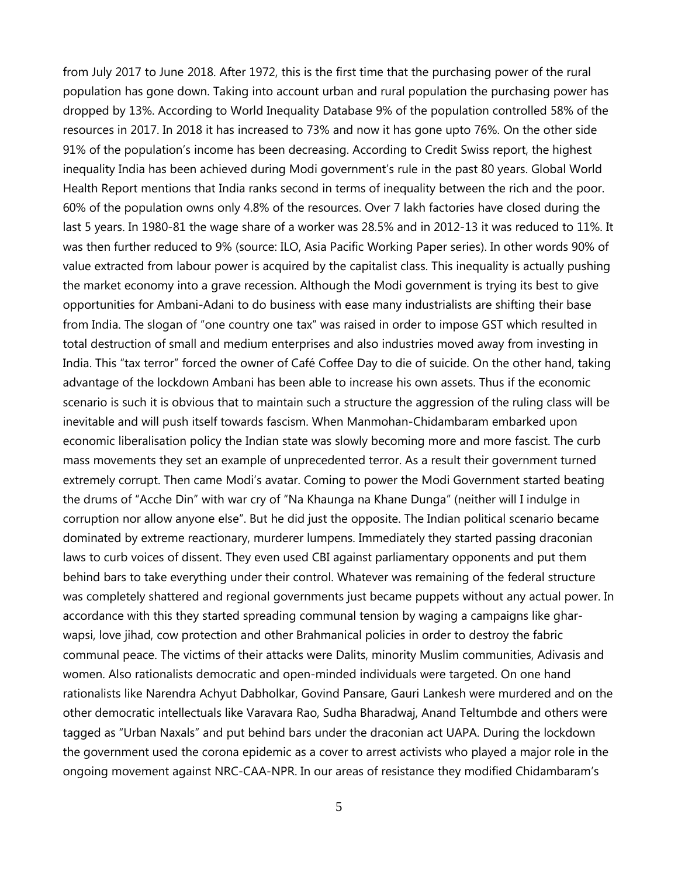from July 2017 to June 2018. After 1972, this is the first time that the purchasing power of the rural population has gone down. Taking into account urban and rural population the purchasing power has dropped by 13%. According to World Inequality Database 9% of the population controlled 58% of the resources in 2017. In 2018 it has increased to 73% and now it has gone upto 76%. On the other side 91% of the population's income has been decreasing. According to Credit Swiss report, the highest inequality India has been achieved during Modi government's rule in the past 80 years. Global World Health Report mentions that India ranks second in terms of inequality between the rich and the poor. 60% of the population owns only 4.8% of the resources. Over 7 lakh factories have closed during the last 5 years. In 1980-81 the wage share of a worker was 28.5% and in 2012-13 it was reduced to 11%. It was then further reduced to 9% (source: ILO, Asia Pacific Working Paper series). In other words 90% of value extracted from labour power is acquired by the capitalist class. This inequality is actually pushing the market economy into a grave recession. Although the Modi government is trying its best to give opportunities for Ambani-Adani to do business with ease many industrialists are shifting their base from India. The slogan of "one country one tax" was raised in order to impose GST which resulted in total destruction of small and medium enterprises and also industries moved away from investing in India. This "tax terror" forced the owner of Café Coffee Day to die of suicide. On the other hand, taking advantage of the lockdown Ambani has been able to increase his own assets. Thus if the economic scenario is such it is obvious that to maintain such a structure the aggression of the ruling class will be inevitable and will push itself towards fascism. When Manmohan-Chidambaram embarked upon economic liberalisation policy the Indian state was slowly becoming more and more fascist. The curb mass movements they set an example of unprecedented terror. As a result their government turned extremely corrupt. Then came Modi's avatar. Coming to power the Modi Government started beating the drums of "Acche Din" with war cry of "Na Khaunga na Khane Dunga" (neither will I indulge in corruption nor allow anyone else". But he did just the opposite. The Indian political scenario became dominated by extreme reactionary, murderer lumpens. Immediately they started passing draconian laws to curb voices of dissent. They even used CBI against parliamentary opponents and put them behind bars to take everything under their control. Whatever was remaining of the federal structure was completely shattered and regional governments just became puppets without any actual power. In accordance with this they started spreading communal tension by waging a campaigns like gharwapsi, love jihad, cow protection and other Brahmanical policies in order to destroy the fabric communal peace. The victims of their attacks were Dalits, minority Muslim communities, Adivasis and women. Also rationalists democratic and open-minded individuals were targeted. On one hand rationalists like Narendra Achyut Dabholkar, Govind Pansare, Gauri Lankesh were murdered and on the other democratic intellectuals like Varavara Rao, Sudha Bharadwaj, Anand Teltumbde and others were tagged as "Urban Naxals" and put behind bars under the draconian act UAPA. During the lockdown the government used the corona epidemic as a cover to arrest activists who played a major role in the ongoing movement against NRC-CAA-NPR. In our areas of resistance they modified Chidambaram's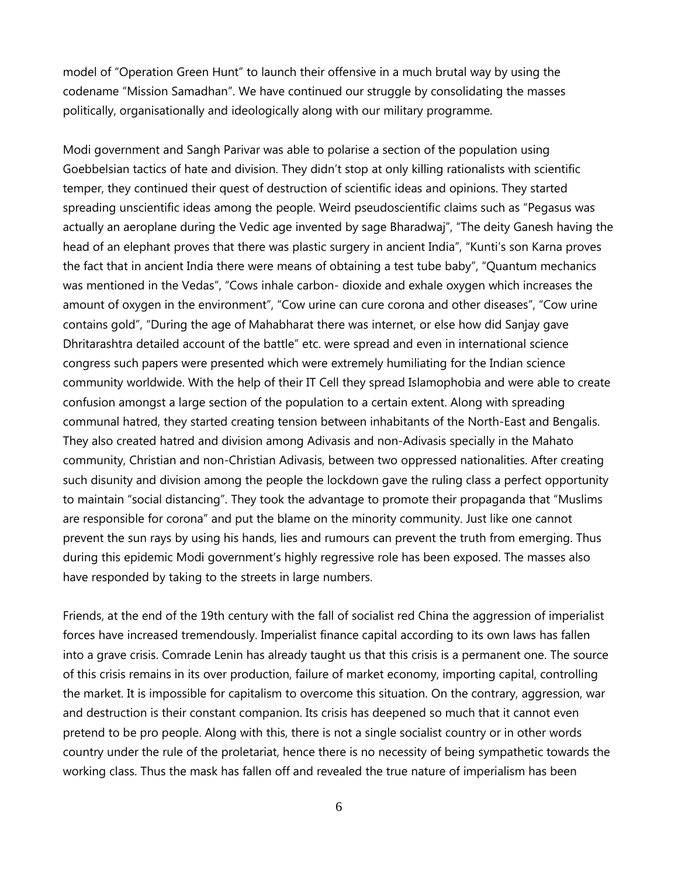model of "Operation Green Hunt" to launch their offensive in a much brutal way by using the codename "Mission Samadhan". We have continued our struggle by consolidating the masses politically, organisationally and ideologically along with our military programme.

Modi government and Sangh Parivar was able to polarise a section of the population using Goebbelsian tactics of hate and division. They didn't stop at only killing rationalists with scientific temper, they continued their quest of destruction of scientific ideas and opinions. They started spreading unscientific ideas among the people. Weird pseudoscientific claims such as "Pegasus was actually an aeroplane during the Vedic age invented by sage Bharadwaj", "The deity Ganesh having the head of an elephant proves that there was plastic surgery in ancient India", "Kunti's son Karna proves the fact that in ancient India there were means of obtaining a test tube baby", "Quantum mechanics was mentioned in the Vedas", "Cows inhale carbon- dioxide and exhale oxygen which increases the amount of oxygen in the environment", "Cow urine can cure corona and other diseases", "Cow urine contains gold", "During the age of Mahabharat there was internet, or else how did Sanjay gave Dhritarashtra detailed account of the battle" etc. were spread and even in international science congress such papers were presented which were extremely humiliating for the Indian science community worldwide. With the help of their IT Cell they spread Islamophobia and were able to create confusion amongst a large section of the population to a certain extent. Along with spreading communal hatred, they started creating tension between inhabitants of the North-East and Bengalis. They also created hatred and division among Adivasis and non-Adivasis specially in the Mahato community, Christian and non-Christian Adivasis, between two oppressed nationalities. After creating such disunity and division among the people the lockdown gave the ruling class a perfect opportunity to maintain "social distancing". They took the advantage to promote their propaganda that "Muslims are responsible for corona" and put the blame on the minority community. Just like one cannot prevent the sun rays by using his hands, lies and rumours can prevent the truth from emerging. Thus during this epidemic Modi government's highly regressive role has been exposed. The masses also have responded by taking to the streets in large numbers.

Friends, at the end of the 19th century with the fall of socialist red China the aggression of imperialist forces have increased tremendously. Imperialist finance capital according to its own laws has fallen into a grave crisis. Comrade Lenin has already taught us that this crisis is a permanent one. The source of this crisis remains in its over production, failure of market economy, importing capital, controlling the market. It is impossible for capitalism to overcome this situation. On the contrary, aggression, war and destruction is their constant companion. Its crisis has deepened so much that it cannot even pretend to be pro people. Along with this, there is not a single socialist country or in other words country under the rule of the proletariat, hence there is no necessity of being sympathetic towards the working class. Thus the mask has fallen off and revealed the true nature of imperialism has been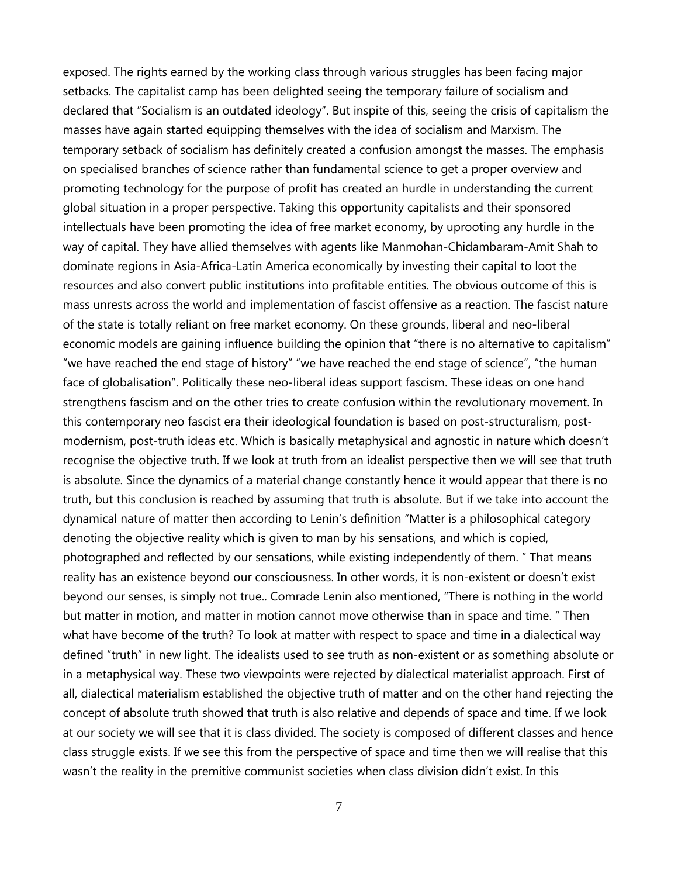exposed. The rights earned by the working class through various struggles has been facing major setbacks. The capitalist camp has been delighted seeing the temporary failure of socialism and declared that "Socialism is an outdated ideology". But inspite of this, seeing the crisis of capitalism the masses have again started equipping themselves with the idea of socialism and Marxism. The temporary setback of socialism has definitely created a confusion amongst the masses. The emphasis on specialised branches of science rather than fundamental science to get a proper overview and promoting technology for the purpose of profit has created an hurdle in understanding the current global situation in a proper perspective. Taking this opportunity capitalists and their sponsored intellectuals have been promoting the idea of free market economy, by uprooting any hurdle in the way of capital. They have allied themselves with agents like Manmohan-Chidambaram-Amit Shah to dominate regions in Asia-Africa-Latin America economically by investing their capital to loot the resources and also convert public institutions into profitable entities. The obvious outcome of this is mass unrests across the world and implementation of fascist offensive as a reaction. The fascist nature of the state is totally reliant on free market economy. On these grounds, liberal and neo-liberal economic models are gaining influence building the opinion that "there is no alternative to capitalism" "we have reached the end stage of history" "we have reached the end stage of science", "the human face of globalisation". Politically these neo-liberal ideas support fascism. These ideas on one hand strengthens fascism and on the other tries to create confusion within the revolutionary movement. In this contemporary neo fascist era their ideological foundation is based on post-structuralism, postmodernism, post-truth ideas etc. Which is basically metaphysical and agnostic in nature which doesn't recognise the objective truth. If we look at truth from an idealist perspective then we will see that truth is absolute. Since the dynamics of a material change constantly hence it would appear that there is no truth, but this conclusion is reached by assuming that truth is absolute. But if we take into account the dynamical nature of matter then according to Lenin's definition "Matter is a philosophical category denoting the objective reality which is given to man by his sensations, and which is copied, photographed and reflected by our sensations, while existing independently of them. " That means reality has an existence beyond our consciousness. In other words, it is non-existent or doesn't exist beyond our senses, is simply not true.. Comrade Lenin also mentioned, "There is nothing in the world but matter in motion, and matter in motion cannot move otherwise than in space and time. " Then what have become of the truth? To look at matter with respect to space and time in a dialectical way defined "truth" in new light. The idealists used to see truth as non-existent or as something absolute or in a metaphysical way. These two viewpoints were rejected by dialectical materialist approach. First of all, dialectical materialism established the objective truth of matter and on the other hand rejecting the concept of absolute truth showed that truth is also relative and depends of space and time. If we look at our society we will see that it is class divided. The society is composed of different classes and hence class struggle exists. If we see this from the perspective of space and time then we will realise that this wasn't the reality in the premitive communist societies when class division didn't exist. In this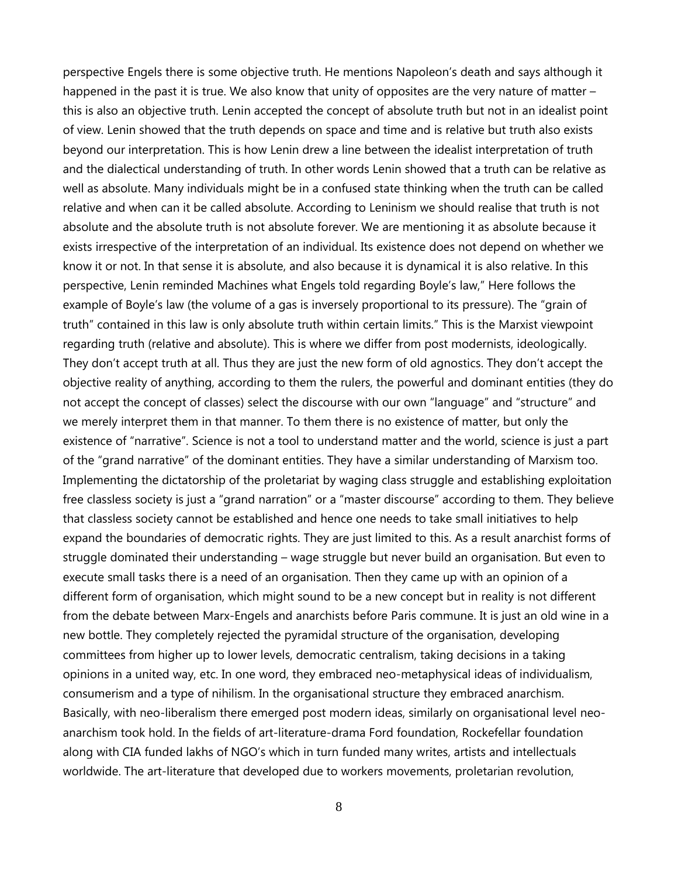perspective Engels there is some objective truth. He mentions Napoleon's death and says although it happened in the past it is true. We also know that unity of opposites are the very nature of matter – this is also an objective truth. Lenin accepted the concept of absolute truth but not in an idealist point of view. Lenin showed that the truth depends on space and time and is relative but truth also exists beyond our interpretation. This is how Lenin drew a line between the idealist interpretation of truth and the dialectical understanding of truth. In other words Lenin showed that a truth can be relative as well as absolute. Many individuals might be in a confused state thinking when the truth can be called relative and when can it be called absolute. According to Leninism we should realise that truth is not absolute and the absolute truth is not absolute forever. We are mentioning it as absolute because it exists irrespective of the interpretation of an individual. Its existence does not depend on whether we know it or not. In that sense it is absolute, and also because it is dynamical it is also relative. In this perspective, Lenin reminded Machines what Engels told regarding Boyle's law," Here follows the example of Boyle's law (the volume of a gas is inversely proportional to its pressure). The "grain of truth" contained in this law is only absolute truth within certain limits." This is the Marxist viewpoint regarding truth (relative and absolute). This is where we differ from post modernists, ideologically. They don't accept truth at all. Thus they are just the new form of old agnostics. They don't accept the objective reality of anything, according to them the rulers, the powerful and dominant entities (they do not accept the concept of classes) select the discourse with our own "language" and "structure" and we merely interpret them in that manner. To them there is no existence of matter, but only the existence of "narrative". Science is not a tool to understand matter and the world, science is just a part of the "grand narrative" of the dominant entities. They have a similar understanding of Marxism too. Implementing the dictatorship of the proletariat by waging class struggle and establishing exploitation free classless society is just a "grand narration" or a "master discourse" according to them. They believe that classless society cannot be established and hence one needs to take small initiatives to help expand the boundaries of democratic rights. They are just limited to this. As a result anarchist forms of struggle dominated their understanding – wage struggle but never build an organisation. But even to execute small tasks there is a need of an organisation. Then they came up with an opinion of a different form of organisation, which might sound to be a new concept but in reality is not different from the debate between Marx-Engels and anarchists before Paris commune. It is just an old wine in a new bottle. They completely rejected the pyramidal structure of the organisation, developing committees from higher up to lower levels, democratic centralism, taking decisions in a taking opinions in a united way, etc. In one word, they embraced neo-metaphysical ideas of individualism, consumerism and a type of nihilism. In the organisational structure they embraced anarchism. Basically, with neo-liberalism there emerged post modern ideas, similarly on organisational level neoanarchism took hold. In the fields of art-literature-drama Ford foundation, Rockefellar foundation along with CIA funded lakhs of NGO's which in turn funded many writes, artists and intellectuals worldwide. The art-literature that developed due to workers movements, proletarian revolution,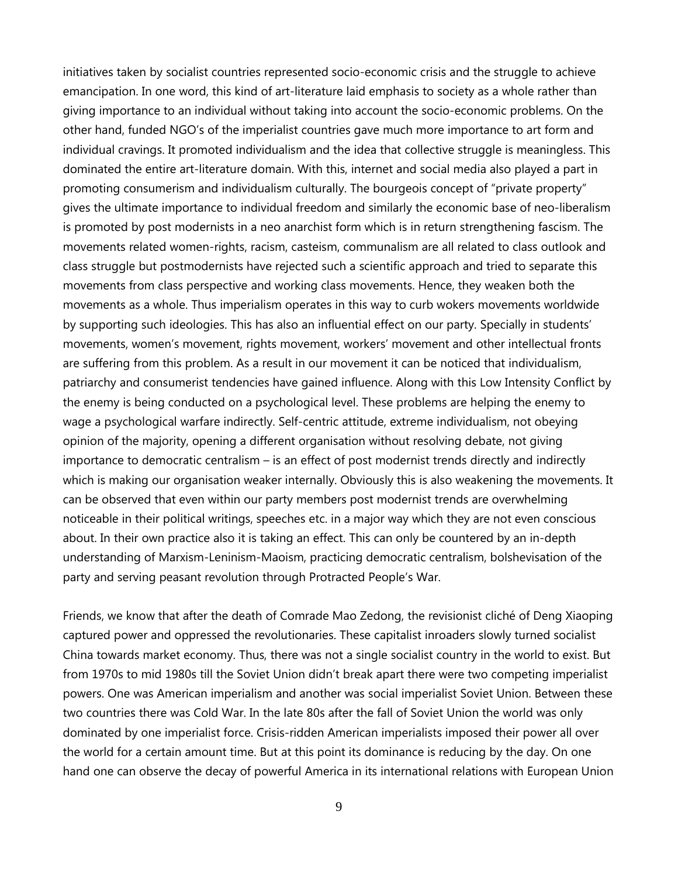initiatives taken by socialist countries represented socio-economic crisis and the struggle to achieve emancipation. In one word, this kind of art-literature laid emphasis to society as a whole rather than giving importance to an individual without taking into account the socio-economic problems. On the other hand, funded NGO's of the imperialist countries gave much more importance to art form and individual cravings. It promoted individualism and the idea that collective struggle is meaningless. This dominated the entire art-literature domain. With this, internet and social media also played a part in promoting consumerism and individualism culturally. The bourgeois concept of "private property" gives the ultimate importance to individual freedom and similarly the economic base of neo-liberalism is promoted by post modernists in a neo anarchist form which is in return strengthening fascism. The movements related women-rights, racism, casteism, communalism are all related to class outlook and class struggle but postmodernists have rejected such a scientific approach and tried to separate this movements from class perspective and working class movements. Hence, they weaken both the movements as a whole. Thus imperialism operates in this way to curb wokers movements worldwide by supporting such ideologies. This has also an influential effect on our party. Specially in students' movements, women's movement, rights movement, workers' movement and other intellectual fronts are suffering from this problem. As a result in our movement it can be noticed that individualism, patriarchy and consumerist tendencies have gained influence. Along with this Low Intensity Conflict by the enemy is being conducted on a psychological level. These problems are helping the enemy to wage a psychological warfare indirectly. Self-centric attitude, extreme individualism, not obeying opinion of the majority, opening a different organisation without resolving debate, not giving importance to democratic centralism – is an effect of post modernist trends directly and indirectly which is making our organisation weaker internally. Obviously this is also weakening the movements. It can be observed that even within our party members post modernist trends are overwhelming noticeable in their political writings, speeches etc. in a major way which they are not even conscious about. In their own practice also it is taking an effect. This can only be countered by an in-depth understanding of Marxism-Leninism-Maoism, practicing democratic centralism, bolshevisation of the party and serving peasant revolution through Protracted People's War.

Friends, we know that after the death of Comrade Mao Zedong, the revisionist cliché of Deng Xiaoping captured power and oppressed the revolutionaries. These capitalist inroaders slowly turned socialist China towards market economy. Thus, there was not a single socialist country in the world to exist. But from 1970s to mid 1980s till the Soviet Union didn't break apart there were two competing imperialist powers. One was American imperialism and another was social imperialist Soviet Union. Between these two countries there was Cold War. In the late 80s after the fall of Soviet Union the world was only dominated by one imperialist force. Crisis-ridden American imperialists imposed their power all over the world for a certain amount time. But at this point its dominance is reducing by the day. On one hand one can observe the decay of powerful America in its international relations with European Union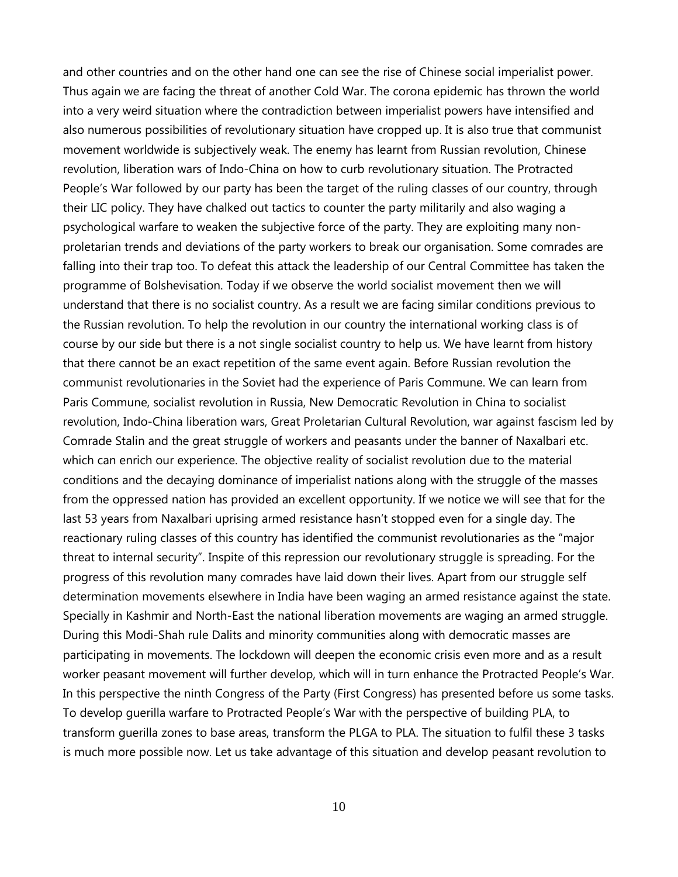and other countries and on the other hand one can see the rise of Chinese social imperialist power. Thus again we are facing the threat of another Cold War. The corona epidemic has thrown the world into a very weird situation where the contradiction between imperialist powers have intensified and also numerous possibilities of revolutionary situation have cropped up. It is also true that communist movement worldwide is subjectively weak. The enemy has learnt from Russian revolution, Chinese revolution, liberation wars of Indo-China on how to curb revolutionary situation. The Protracted People's War followed by our party has been the target of the ruling classes of our country, through their LIC policy. They have chalked out tactics to counter the party militarily and also waging a psychological warfare to weaken the subjective force of the party. They are exploiting many nonproletarian trends and deviations of the party workers to break our organisation. Some comrades are falling into their trap too. To defeat this attack the leadership of our Central Committee has taken the programme of Bolshevisation. Today if we observe the world socialist movement then we will understand that there is no socialist country. As a result we are facing similar conditions previous to the Russian revolution. To help the revolution in our country the international working class is of course by our side but there is a not single socialist country to help us. We have learnt from history that there cannot be an exact repetition of the same event again. Before Russian revolution the communist revolutionaries in the Soviet had the experience of Paris Commune. We can learn from Paris Commune, socialist revolution in Russia, New Democratic Revolution in China to socialist revolution, Indo-China liberation wars, Great Proletarian Cultural Revolution, war against fascism led by Comrade Stalin and the great struggle of workers and peasants under the banner of Naxalbari etc. which can enrich our experience. The objective reality of socialist revolution due to the material conditions and the decaying dominance of imperialist nations along with the struggle of the masses from the oppressed nation has provided an excellent opportunity. If we notice we will see that for the last 53 years from Naxalbari uprising armed resistance hasn't stopped even for a single day. The reactionary ruling classes of this country has identified the communist revolutionaries as the "major threat to internal security". Inspite of this repression our revolutionary struggle is spreading. For the progress of this revolution many comrades have laid down their lives. Apart from our struggle self determination movements elsewhere in India have been waging an armed resistance against the state. Specially in Kashmir and North-East the national liberation movements are waging an armed struggle. During this Modi-Shah rule Dalits and minority communities along with democratic masses are participating in movements. The lockdown will deepen the economic crisis even more and as a result worker peasant movement will further develop, which will in turn enhance the Protracted People's War. In this perspective the ninth Congress of the Party (First Congress) has presented before us some tasks. To develop guerilla warfare to Protracted People's War with the perspective of building PLA, to transform guerilla zones to base areas, transform the PLGA to PLA. The situation to fulfil these 3 tasks is much more possible now. Let us take advantage of this situation and develop peasant revolution to